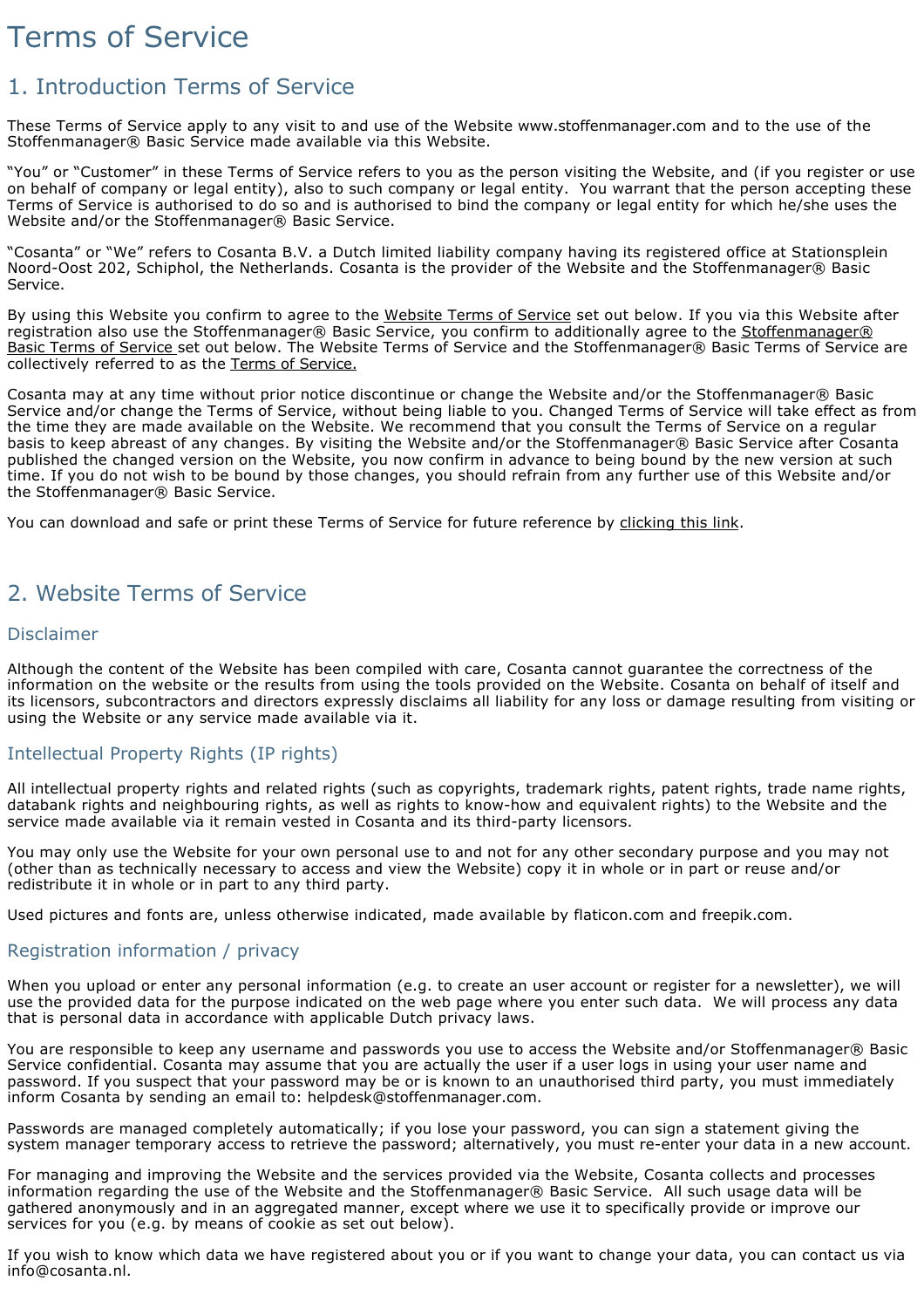# Terms of Service

# 1. Introduction Terms of Service

These Terms of Service apply to any visit to and use of the Website [www.stoffenmanager.com](http://www.stoffenmanager.com) and to the use of the Stoffenmanager® Basic Service made available via this Website.

"You" or "Customer" in these Terms of Service refers to you as the person visiting the Website, and (if you register or use on behalf of company or legal entity), also to such company or legal entity. You warrant that the person accepting these Terms of Service is authorised to do so and is authorised to bind the company or legal entity for which he/she uses the Website and/or the Stoffenmanager® Basic Service.

"Cosanta" or "We" refers to Cosanta B.V. a Dutch limited liability company having its registered office at Stationsplein Noord-Oost 202, Schiphol, the Netherlands. Cosanta is the provider of the Website and the Stoffenmanager® Basic Service.

By using this Website you confirm to agree to the Website Terms of Service set out below. If you via this Website after registration also use the Stoffenmanager® Basic Service, you confirm to additionally agree to the Stoffenmanager® Basic Terms of Service set out below. The Website Terms of Service and the Stoffenmanager® Basic Terms of Service are collectively referred to as the Terms of Service.

Cosanta may at any time without prior notice discontinue or change the Website and/or the Stoffenmanager® Basic Service and/or change the Terms of Service, without being liable to you. Changed Terms of Service will take effect as from the time they are made available on the Website. We recommend that you consult the Terms of Service on a regular basis to keep abreast of any changes. By visiting the Website and/or the Stoffenmanager® Basic Service after Cosanta published the changed version on the Website, you now confirm in advance to being bound by the new version at such time. If you do not wish to be bound by those changes, you should refrain from any further use of this Website and/or the Stoffenmanager® Basic Service.

You can download and safe or print these Terms of Service for future reference by [clicking this link.](/Public/Disclaimer.pdf)

# 2. Website Terms of Service

#### Disclaimer

Although the content of the Website has been compiled with care, Cosanta cannot guarantee the correctness of the information on the website or the results from using the tools provided on the Website. Cosanta on behalf of itself and its licensors, subcontractors and directors expressly disclaims all liability for any loss or damage resulting from visiting or using the Website or any service made available via it.

#### Intellectual Property Rights (IP rights)

All intellectual property rights and related rights (such as copyrights, trademark rights, patent rights, trade name rights, databank rights and neighbouring rights, as well as rights to know-how and equivalent rights) to the Website and the service made available via it remain vested in Cosanta and its third-party licensors.

You may only use the Website for your own personal use to and not for any other secondary purpose and you may not (other than as technically necessary to access and view the Website) copy it in whole or in part or reuse and/or redistribute it in whole or in part to any third party.

Used pictures and fonts are, unless otherwise indicated, made available by [flaticon.com](http://www.flaticon.com) and [freepik.com](http://www.freepik.com).

#### Registration information / privacy

When you upload or enter any personal information (e.g. to create an user account or register for a newsletter), we will use the provided data for the purpose indicated on the web page where you enter such data. We will process any data that is personal data in accordance with applicable Dutch privacy laws.

You are responsible to keep any username and passwords you use to access the Website and/or Stoffenmanager® Basic Service confidential. Cosanta may assume that you are actually the user if a user logs in using your user name and password. If you suspect that your password may be or is known to an unauthorised third party, you must immediately inform Cosanta by sending an email to: [helpdesk@stoffenmanager.com.](mailto:helpdesk@stoffenmanager.com)

Passwords are managed completely automatically; if you lose your password, you can sign a statement giving the system manager temporary access to retrieve the password; alternatively, you must re-enter your data in a new account.

For managing and improving the Website and the services provided via the Website, Cosanta collects and processes information regarding the use of the Website and the Stoffenmanager® Basic Service. All such usage data will be gathered anonymously and in an aggregated manner, except where we use it to specifically provide or improve our services for you (e.g. by means of cookie as set out below).

If you wish to know which data we have registered about you or if you want to change your data, you can contact us via [info@cosanta.nl](mailto:info@cosanta.nl).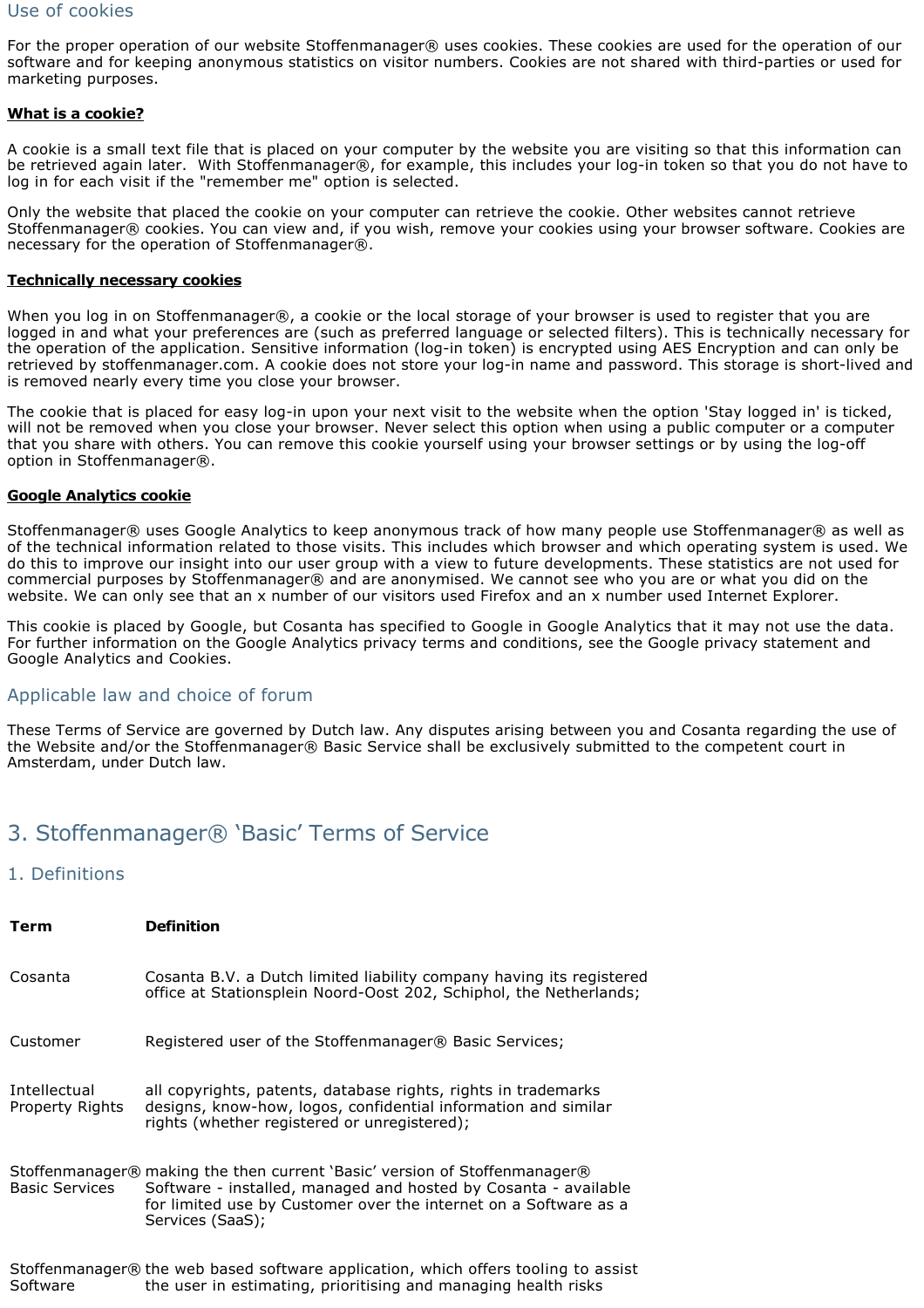#### Use of cookies

For the proper operation of our website Stoffenmanager® uses cookies. These cookies are used for the operation of our software and for keeping anonymous statistics on visitor numbers. Cookies are not shared with third-parties or used for marketing purposes.

#### **What is a cookie?**

A cookie is a small text file that is placed on your computer by the website you are visiting so that this information can be retrieved again later. With Stoffenmanager®, for example, this includes your log-in token so that you do not have to log in for each visit if the "remember me" option is selected.

Only the website that placed the cookie on your computer can retrieve the cookie. Other websites cannot retrieve Stoffenmanager® cookies. You can view and, if you wish, remove your cookies using your browser software. Cookies are necessary for the operation of Stoffenmanager®.

#### **Technically necessary cookies**

When you log in on Stoffenmanager®, a cookie or the local storage of your browser is used to register that you are logged in and what your preferences are (such as preferred language or selected filters). This is technically necessary for the operation of the application. Sensitive information (log-in token) is encrypted using AES Encryption and can only be retrieved by stoffenmanager.com. A cookie does not store your log-in name and password. This storage is short-lived and is removed nearly every time you close your browser.

The cookie that is placed for easy log-in upon your next visit to the website when the option 'Stay logged in' is ticked, will not be removed when you close your browser. Never select this option when using a public computer or a computer that you share with others. You can remove this cookie yourself using your browser settings or by using the log-off option in Stoffenmanager®.

#### **Google Analytics cookie**

Stoffenmanager® uses Google Analytics to keep anonymous track of how many people use Stoffenmanager® as well as of the technical information related to those visits. This includes which browser and which operating system is used. We do this to improve our insight into our user group with a view to future developments. These statistics are not used for commercial purposes by Stoffenmanager® and are anonymised. We cannot see who you are or what you did on the website. We can only see that an x number of our visitors used Firefox and an x number used Internet Explorer.

This cookie is placed by Google, but Cosanta has specified to Google in Google Analytics that it may not use the data. For further information on the Google Analytics privacy terms and conditions, see the Google privacy statement and Google Analytics and Cookies.

#### Applicable law and choice of forum

These Terms of Service are governed by Dutch law. Any disputes arising between you and Cosanta regarding the use of the Website and/or the Stoffenmanager® Basic Service shall be exclusively submitted to the competent court in Amsterdam, under Dutch law.

# 3. Stoffenmanager® 'Basic' Terms of Service

#### 1. Definitions

| Term                            | <b>Definition</b>                                                                                                                                                                                                                     |
|---------------------------------|---------------------------------------------------------------------------------------------------------------------------------------------------------------------------------------------------------------------------------------|
| Cosanta                         | Cosanta B.V. a Dutch limited liability company having its registered<br>office at Stationsplein Noord-Oost 202, Schiphol, the Netherlands;                                                                                            |
| Customer                        | Registered user of the Stoffenmanager® Basic Services;                                                                                                                                                                                |
| Intellectual<br>Property Rights | all copyrights, patents, database rights, rights in trademarks<br>designs, know-how, logos, confidential information and similar<br>rights (whether registered or unregistered);                                                      |
| <b>Basic Services</b>           | Stoffenmanager® making the then current 'Basic' version of Stoffenmanager®<br>Software - installed, managed and hosted by Cosanta - available<br>for limited use by Customer over the internet on a Software as a<br>Services (SaaS); |
| Software                        | Stoffenmanager® the web based software application, which offers tooling to assist<br>the user in estimating, prioritising and managing health risks                                                                                  |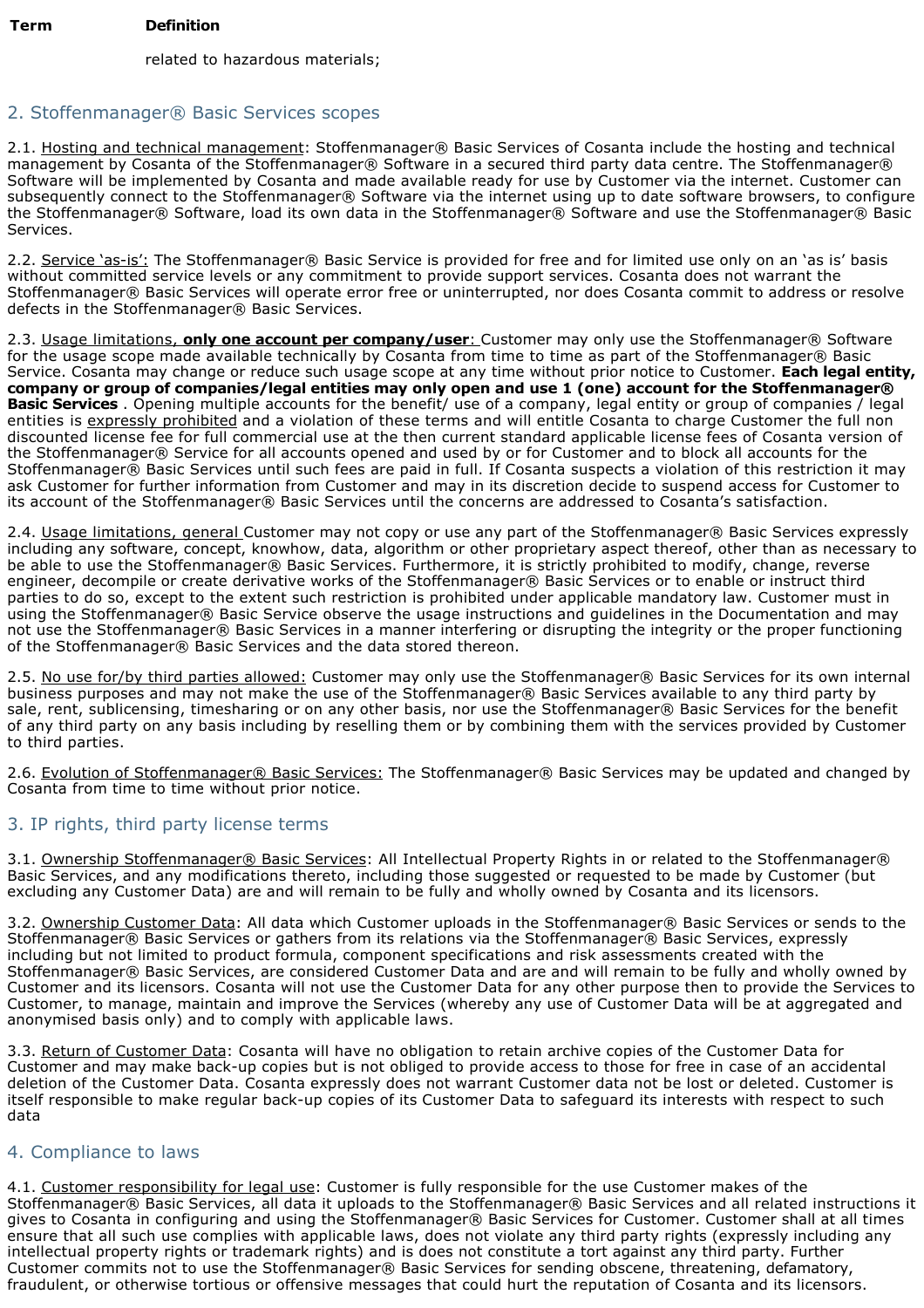related to hazardous materials;

# 2. Stoffenmanager® Basic Services scopes

2.1. Hosting and technical management: Stoffenmanager® Basic Services of Cosanta include the hosting and technical management by Cosanta of the Stoffenmanager® Software in a secured third party data centre. The Stoffenmanager® Software will be implemented by Cosanta and made available ready for use by Customer via the internet. Customer can subsequently connect to the Stoffenmanager® Software via the internet using up to date software browsers, to configure the Stoffenmanager® Software, load its own data in the Stoffenmanager® Software and use the Stoffenmanager® Basic Services.

2.2. Service 'as-is': The Stoffenmanager® Basic Service is provided for free and for limited use only on an 'as is' basis without committed service levels or any commitment to provide support services. Cosanta does not warrant the Stoffenmanager® Basic Services will operate error free or uninterrupted, nor does Cosanta commit to address or resolve defects in the Stoffenmanager® Basic Services.

2.3. Usage limitations, **only one account per company/user**: Customer may only use the Stoffenmanager® Software for the usage scope made available technically by Cosanta from time to time as part of the Stoffenmanager® Basic Service. Cosanta may change or reduce such usage scope at any time without prior notice to Customer. **Each legal entity, company or group of companies/legal entities may only open and use 1 (one) account for the Stoffenmanager® Basic Services** . Opening multiple accounts for the benefit/ use of a company, legal entity or group of companies / legal entities is expressly prohibited and a violation of these terms and will entitle Cosanta to charge Customer the full non discounted license fee for full commercial use at the then current standard applicable license fees of Cosanta version of the Stoffenmanager® Service for all accounts opened and used by or for Customer and to block all accounts for the Stoffenmanager® Basic Services until such fees are paid in full. If Cosanta suspects a violation of this restriction it may ask Customer for further information from Customer and may in its discretion decide to suspend access for Customer to its account of the Stoffenmanager® Basic Services until the concerns are addressed to Cosanta's satisfaction.

2.4. Usage limitations, general Customer may not copy or use any part of the Stoffenmanager® Basic Services expressly including any software, concept, knowhow, data, algorithm or other proprietary aspect thereof, other than as necessary to be able to use the Stoffenmanager® Basic Services. Furthermore, it is strictly prohibited to modify, change, reverse engineer, decompile or create derivative works of the Stoffenmanager® Basic Services or to enable or instruct third parties to do so, except to the extent such restriction is prohibited under applicable mandatory law. Customer must in using the Stoffenmanager® Basic Service observe the usage instructions and guidelines in the Documentation and may not use the Stoffenmanager® Basic Services in a manner interfering or disrupting the integrity or the proper functioning of the Stoffenmanager® Basic Services and the data stored thereon.

2.5. No use for/by third parties allowed: Customer may only use the Stoffenmanager® Basic Services for its own internal business purposes and may not make the use of the Stoffenmanager® Basic Services available to any third party by sale, rent, sublicensing, timesharing or on any other basis, nor use the Stoffenmanager® Basic Services for the benefit of any third party on any basis including by reselling them or by combining them with the services provided by Customer to third parties.

2.6. Evolution of Stoffenmanager® Basic Services: The Stoffenmanager® Basic Services may be updated and changed by Cosanta from time to time without prior notice.

## 3. IP rights, third party license terms

3.1. Ownership Stoffenmanager® Basic Services: All Intellectual Property Rights in or related to the Stoffenmanager® Basic Services, and any modifications thereto, including those suggested or requested to be made by Customer (but excluding any Customer Data) are and will remain to be fully and wholly owned by Cosanta and its licensors.

3.2. Ownership Customer Data: All data which Customer uploads in the Stoffenmanager® Basic Services or sends to the Stoffenmanager® Basic Services or gathers from its relations via the Stoffenmanager® Basic Services, expressly including but not limited to product formula, component specifications and risk assessments created with the Stoffenmanager® Basic Services, are considered Customer Data and are and will remain to be fully and wholly owned by Customer and its licensors. Cosanta will not use the Customer Data for any other purpose then to provide the Services to Customer, to manage, maintain and improve the Services (whereby any use of Customer Data will be at aggregated and anonymised basis only) and to comply with applicable laws.

3.3. Return of Customer Data: Cosanta will have no obligation to retain archive copies of the Customer Data for Customer and may make back-up copies but is not obliged to provide access to those for free in case of an accidental deletion of the Customer Data. Cosanta expressly does not warrant Customer data not be lost or deleted. Customer is itself responsible to make regular back-up copies of its Customer Data to safeguard its interests with respect to such data

## 4. Compliance to laws

4.1. Customer responsibility for legal use: Customer is fully responsible for the use Customer makes of the Stoffenmanager® Basic Services, all data it uploads to the Stoffenmanager® Basic Services and all related instructions it gives to Cosanta in configuring and using the Stoffenmanager® Basic Services for Customer. Customer shall at all times ensure that all such use complies with applicable laws, does not violate any third party rights (expressly including any intellectual property rights or trademark rights) and is does not constitute a tort against any third party. Further Customer commits not to use the Stoffenmanager® Basic Services for sending obscene, threatening, defamatory, fraudulent, or otherwise tortious or offensive messages that could hurt the reputation of Cosanta and its licensors.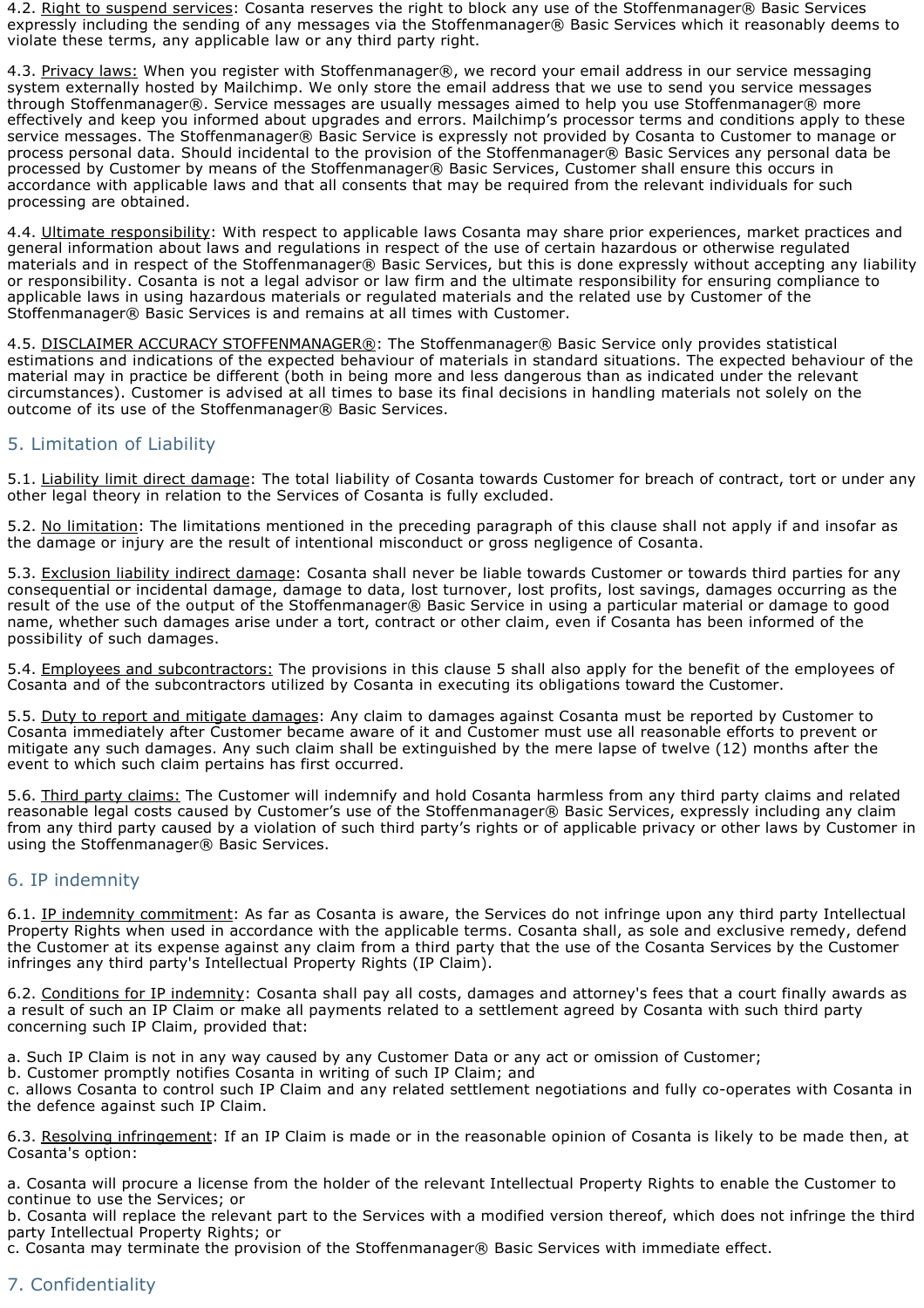4.2. Right to suspend services: Cosanta reserves the right to block any use of the Stoffenmanager® Basic Services expressly including the sending of any messages via the Stoffenmanager® Basic Services which it reasonably deems to violate these terms, any applicable law or any third party right.

4.3. Privacy laws: When you register with Stoffenmanager®, we record your email address in our service messaging system externally hosted by Mailchimp. We only store the email address that we use to send you service messages through Stoffenmanager®. Service messages are usually messages aimed to help you use Stoffenmanager® more effectively and keep you informed about upgrades and errors. Mailchimp's processor terms and conditions apply to these service messages. The Stoffenmanager® Basic Service is expressly not provided by Cosanta to Customer to manage or process personal data. Should incidental to the provision of the Stoffenmanager® Basic Services any personal data be processed by Customer by means of the Stoffenmanager® Basic Services, Customer shall ensure this occurs in accordance with applicable laws and that all consents that may be required from the relevant individuals for such processing are obtained.

4.4. Ultimate responsibility: With respect to applicable laws Cosanta may share prior experiences, market practices and general information about laws and regulations in respect of the use of certain hazardous or otherwise regulated materials and in respect of the Stoffenmanager® Basic Services, but this is done expressly without accepting any liability or responsibility. Cosanta is not a legal advisor or law firm and the ultimate responsibility for ensuring compliance to applicable laws in using hazardous materials or regulated materials and the related use by Customer of the Stoffenmanager® Basic Services is and remains at all times with Customer.

4.5. DISCLAIMER ACCURACY STOFFENMANAGER®: The Stoffenmanager® Basic Service only provides statistical estimations and indications of the expected behaviour of materials in standard situations. The expected behaviour of the material may in practice be different (both in being more and less dangerous than as indicated under the relevant circumstances). Customer is advised at all times to base its final decisions in handling materials not solely on the outcome of its use of the Stoffenmanager® Basic Services.

### 5. Limitation of Liability

5.1. Liability limit direct damage: The total liability of Cosanta towards Customer for breach of contract, tort or under any other legal theory in relation to the Services of Cosanta is fully excluded.

5.2. No limitation: The limitations mentioned in the preceding paragraph of this clause shall not apply if and insofar as the damage or injury are the result of intentional misconduct or gross negligence of Cosanta.

5.3. Exclusion liability indirect damage: Cosanta shall never be liable towards Customer or towards third parties for any consequential or incidental damage, damage to data, lost turnover, lost profits, lost savings, damages occurring as the result of the use of the output of the Stoffenmanager® Basic Service in using a particular material or damage to good name, whether such damages arise under a tort, contract or other claim, even if Cosanta has been informed of the possibility of such damages.

5.4. Employees and subcontractors: The provisions in this clause 5 shall also apply for the benefit of the employees of Cosanta and of the subcontractors utilized by Cosanta in executing its obligations toward the Customer.

5.5. Duty to report and mitigate damages: Any claim to damages against Cosanta must be reported by Customer to Cosanta immediately after Customer became aware of it and Customer must use all reasonable efforts to prevent or mitigate any such damages. Any such claim shall be extinguished by the mere lapse of twelve (12) months after the event to which such claim pertains has first occurred.

5.6. Third party claims: The Customer will indemnify and hold Cosanta harmless from any third party claims and related reasonable legal costs caused by Customer's use of the Stoffenmanager® Basic Services, expressly including any claim from any third party caused by a violation of such third party's rights or of applicable privacy or other laws by Customer in using the Stoffenmanager® Basic Services.

#### 6. IP indemnity

6.1. IP indemnity commitment: As far as Cosanta is aware, the Services do not infringe upon any third party Intellectual Property Rights when used in accordance with the applicable terms. Cosanta shall, as sole and exclusive remedy, defend the Customer at its expense against any claim from a third party that the use of the Cosanta Services by the Customer infringes any third party's Intellectual Property Rights (IP Claim).

6.2. Conditions for IP indemnity: Cosanta shall pay all costs, damages and attorney's fees that a court finally awards as a result of such an IP Claim or make all payments related to a settlement agreed by Cosanta with such third party concerning such IP Claim, provided that:

a. Such IP Claim is not in any way caused by any Customer Data or any act or omission of Customer;

b. Customer promptly notifies Cosanta in writing of such IP Claim; and

c. allows Cosanta to control such IP Claim and any related settlement negotiations and fully co-operates with Cosanta in the defence against such IP Claim.

6.3. Resolving infringement: If an IP Claim is made or in the reasonable opinion of Cosanta is likely to be made then, at Cosanta's option:

a. Cosanta will procure a license from the holder of the relevant Intellectual Property Rights to enable the Customer to continue to use the Services; or

b. Cosanta will replace the relevant part to the Services with a modified version thereof, which does not infringe the third party Intellectual Property Rights; or

c. Cosanta may terminate the provision of the Stoffenmanager® Basic Services with immediate effect.

## 7. Confidentiality